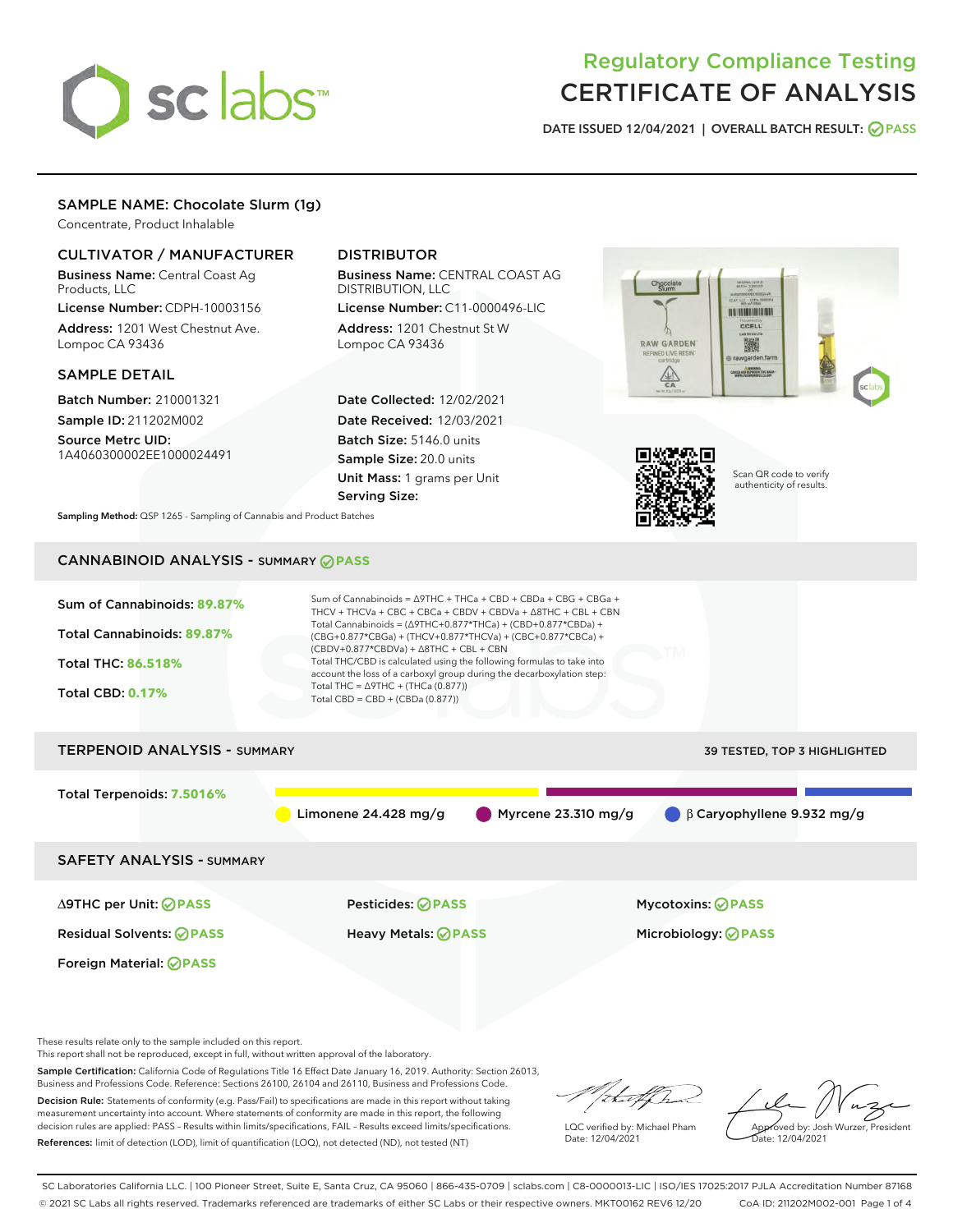

# Regulatory Compliance Testing CERTIFICATE OF ANALYSIS

DATE ISSUED 12/04/2021 | OVERALL BATCH RESULT: @ PASS

## SAMPLE NAME: Chocolate Slurm (1g)

Concentrate, Product Inhalable

#### CULTIVATOR / MANUFACTURER

Business Name: Central Coast Ag Products, LLC

License Number: CDPH-10003156 Address: 1201 West Chestnut Ave. Lompoc CA 93436

#### SAMPLE DETAIL

Batch Number: 210001321 Sample ID: 211202M002

Source Metrc UID: 1A4060300002EE1000024491

## DISTRIBUTOR

Business Name: CENTRAL COAST AG DISTRIBUTION, LLC

License Number: C11-0000496-LIC Address: 1201 Chestnut St W Lompoc CA 93436

Date Collected: 12/02/2021 Date Received: 12/03/2021 Batch Size: 5146.0 units Sample Size: 20.0 units Unit Mass: 1 grams per Unit Serving Size:





Scan QR code to verify authenticity of results.

Sampling Method: QSP 1265 - Sampling of Cannabis and Product Batches

# CANNABINOID ANALYSIS - SUMMARY **PASS**



These results relate only to the sample included on this report.

This report shall not be reproduced, except in full, without written approval of the laboratory.

Sample Certification: California Code of Regulations Title 16 Effect Date January 16, 2019. Authority: Section 26013, Business and Professions Code. Reference: Sections 26100, 26104 and 26110, Business and Professions Code. Decision Rule: Statements of conformity (e.g. Pass/Fail) to specifications are made in this report without taking

measurement uncertainty into account. Where statements of conformity are made in this report, the following decision rules are applied: PASS – Results within limits/specifications, FAIL – Results exceed limits/specifications. References: limit of detection (LOD), limit of quantification (LOQ), not detected (ND), not tested (NT)

that f(ha

LQC verified by: Michael Pham Date: 12/04/2021

Approved by: Josh Wurzer, President Date: 12/04/2021

SC Laboratories California LLC. | 100 Pioneer Street, Suite E, Santa Cruz, CA 95060 | 866-435-0709 | sclabs.com | C8-0000013-LIC | ISO/IES 17025:2017 PJLA Accreditation Number 87168 © 2021 SC Labs all rights reserved. Trademarks referenced are trademarks of either SC Labs or their respective owners. MKT00162 REV6 12/20 CoA ID: 211202M002-001 Page 1 of 4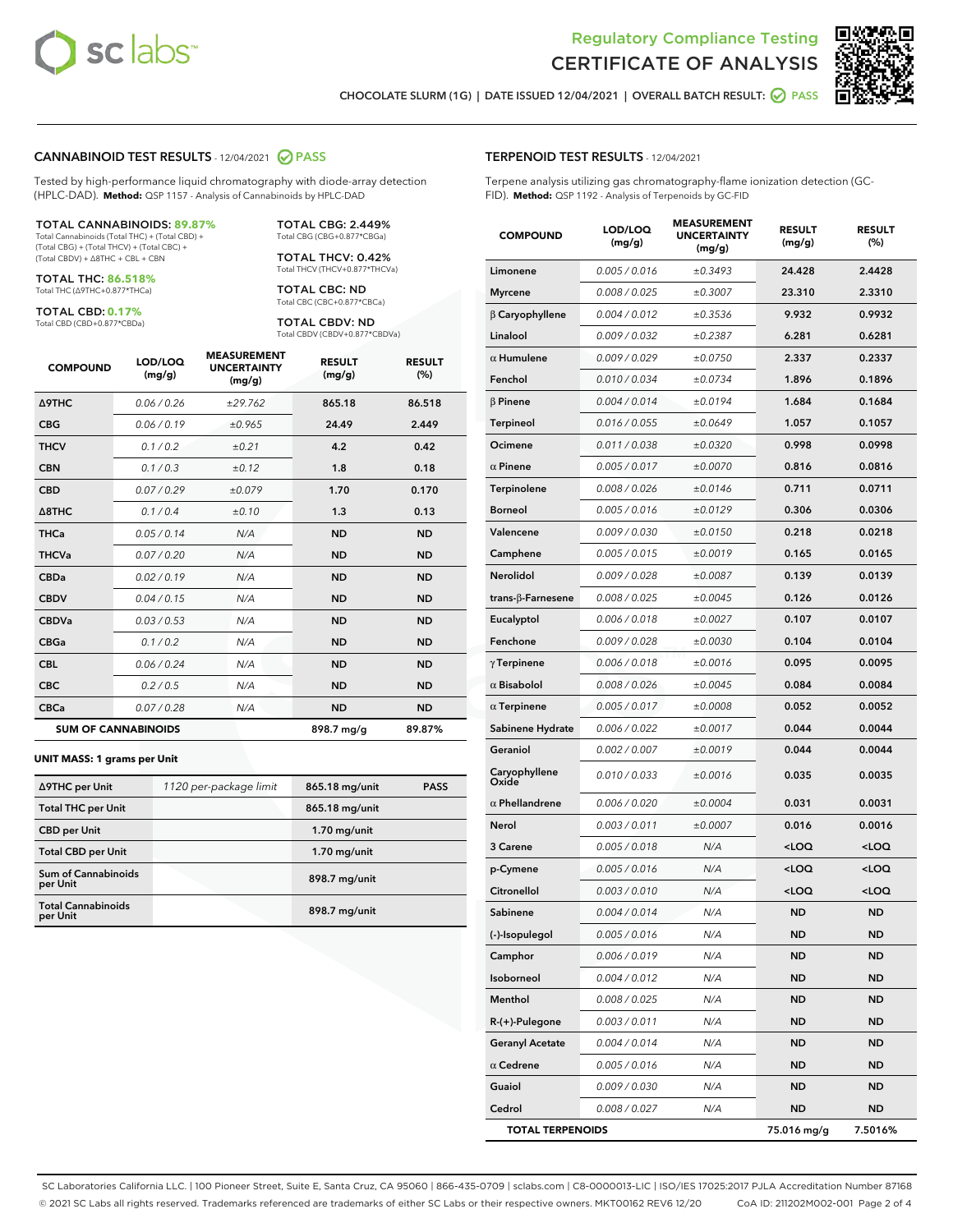



CHOCOLATE SLURM (1G) | DATE ISSUED 12/04/2021 | OVERALL BATCH RESULT: @ PASS

#### CANNABINOID TEST RESULTS - 12/04/2021 2 PASS

Tested by high-performance liquid chromatography with diode-array detection (HPLC-DAD). **Method:** QSP 1157 - Analysis of Cannabinoids by HPLC-DAD

#### TOTAL CANNABINOIDS: **89.87%**

Total Cannabinoids (Total THC) + (Total CBD) + (Total CBG) + (Total THCV) + (Total CBC) + (Total CBDV) + ∆8THC + CBL + CBN

TOTAL THC: **86.518%** Total THC (∆9THC+0.877\*THCa)

TOTAL CBD: **0.17%**

Total CBD (CBD+0.877\*CBDa)

TOTAL CBG: 2.449% Total CBG (CBG+0.877\*CBGa)

TOTAL THCV: 0.42% Total THCV (THCV+0.877\*THCVa)

TOTAL CBC: ND Total CBC (CBC+0.877\*CBCa)

TOTAL CBDV: ND Total CBDV (CBDV+0.877\*CBDVa)

| <b>COMPOUND</b>            | LOD/LOQ<br>(mg/g) | <b>MEASUREMENT</b><br><b>UNCERTAINTY</b><br>(mg/g) | <b>RESULT</b><br>(mg/g) | <b>RESULT</b><br>(%) |
|----------------------------|-------------------|----------------------------------------------------|-------------------------|----------------------|
| Δ9THC                      | 0.06 / 0.26       | ±29.762                                            | 865.18                  | 86.518               |
| <b>CBG</b>                 | 0.06 / 0.19       | ±0.965                                             | 24.49                   | 2.449                |
| <b>THCV</b>                | 0.1 / 0.2         | ±0.21                                              | 4.2                     | 0.42                 |
| <b>CBN</b>                 | 0.1/0.3           | ±0.12                                              | 1.8                     | 0.18                 |
| <b>CBD</b>                 | 0.07/0.29         | ±0.079                                             | 1.70                    | 0.170                |
| $\triangle$ 8THC           | 0.1/0.4           | ±0.10                                              | 1.3                     | 0.13                 |
| <b>THCa</b>                | 0.05/0.14         | N/A                                                | <b>ND</b>               | <b>ND</b>            |
| <b>THCVa</b>               | 0.07/0.20         | N/A                                                | <b>ND</b>               | <b>ND</b>            |
| <b>CBDa</b>                | 0.02 / 0.19       | N/A                                                | <b>ND</b>               | <b>ND</b>            |
| <b>CBDV</b>                | 0.04 / 0.15       | N/A                                                | <b>ND</b>               | <b>ND</b>            |
| <b>CBDVa</b>               | 0.03/0.53         | N/A                                                | <b>ND</b>               | <b>ND</b>            |
| <b>CBGa</b>                | 0.1 / 0.2         | N/A                                                | <b>ND</b>               | <b>ND</b>            |
| <b>CBL</b>                 | 0.06 / 0.24       | N/A                                                | <b>ND</b>               | <b>ND</b>            |
| <b>CBC</b>                 | 0.2 / 0.5         | N/A                                                | <b>ND</b>               | <b>ND</b>            |
| <b>CBCa</b>                | 0.07/0.28         | N/A                                                | <b>ND</b>               | <b>ND</b>            |
| <b>SUM OF CANNABINOIDS</b> |                   |                                                    | 898.7 mg/g              | 89.87%               |

#### **UNIT MASS: 1 grams per Unit**

| ∆9THC per Unit                         | 1120 per-package limit | 865.18 mg/unit | <b>PASS</b> |
|----------------------------------------|------------------------|----------------|-------------|
| <b>Total THC per Unit</b>              |                        | 865.18 mg/unit |             |
| <b>CBD per Unit</b>                    |                        | $1.70$ mg/unit |             |
| <b>Total CBD per Unit</b>              |                        | $1.70$ mg/unit |             |
| <b>Sum of Cannabinoids</b><br>per Unit |                        | 898.7 mg/unit  |             |
| <b>Total Cannabinoids</b><br>per Unit  |                        | 898.7 mg/unit  |             |

# TERPENOID TEST RESULTS - 12/04/2021

Terpene analysis utilizing gas chromatography-flame ionization detection (GC-FID). **Method:** QSP 1192 - Analysis of Terpenoids by GC-FID

| <b>COMPOUND</b>         | LOD/LOQ<br>(mg/g) | <b>MEASUREMENT</b><br><b>UNCERTAINTY</b><br>(mg/g) | <b>RESULT</b><br>(mg/g)                         | <b>RESULT</b><br>(%) |
|-------------------------|-------------------|----------------------------------------------------|-------------------------------------------------|----------------------|
| Limonene                | 0.005 / 0.016     | ±0.3493                                            | 24.428                                          | 2.4428               |
| <b>Myrcene</b>          | 0.008 / 0.025     | ±0.3007                                            | 23.310                                          | 2.3310               |
| $\beta$ Caryophyllene   | 0.004 / 0.012     | ±0.3536                                            | 9.932                                           | 0.9932               |
| Linalool                | 0.009 / 0.032     | ±0.2387                                            | 6.281                                           | 0.6281               |
| $\alpha$ Humulene       | 0.009/0.029       | ±0.0750                                            | 2.337                                           | 0.2337               |
| Fenchol                 | 0.010 / 0.034     | ±0.0734                                            | 1.896                                           | 0.1896               |
| $\beta$ Pinene          | 0.004 / 0.014     | ±0.0194                                            | 1.684                                           | 0.1684               |
| Terpineol               | 0.016 / 0.055     | ±0.0649                                            | 1.057                                           | 0.1057               |
| Ocimene                 | 0.011 / 0.038     | ±0.0320                                            | 0.998                                           | 0.0998               |
| $\alpha$ Pinene         | 0.005 / 0.017     | ±0.0070                                            | 0.816                                           | 0.0816               |
| Terpinolene             | 0.008 / 0.026     | ±0.0146                                            | 0.711                                           | 0.0711               |
| <b>Borneol</b>          | 0.005 / 0.016     | ±0.0129                                            | 0.306                                           | 0.0306               |
| Valencene               | 0.009 / 0.030     | ±0.0150                                            | 0.218                                           | 0.0218               |
| Camphene                | 0.005 / 0.015     | ±0.0019                                            | 0.165                                           | 0.0165               |
| Nerolidol               | 0.009 / 0.028     | ±0.0087                                            | 0.139                                           | 0.0139               |
| trans-ß-Farnesene       | 0.008 / 0.025     | ±0.0045                                            | 0.126                                           | 0.0126               |
| Eucalyptol              | 0.006 / 0.018     | ±0.0027                                            | 0.107                                           | 0.0107               |
| Fenchone                | 0.009 / 0.028     | ±0.0030                                            | 0.104                                           | 0.0104               |
| $\gamma$ Terpinene      | 0.006 / 0.018     | ±0.0016                                            | 0.095                                           | 0.0095               |
| $\alpha$ Bisabolol      | 0.008 / 0.026     | ±0.0045                                            | 0.084                                           | 0.0084               |
| $\alpha$ Terpinene      | 0.005 / 0.017     | ±0.0008                                            | 0.052                                           | 0.0052               |
| Sabinene Hydrate        | 0.006 / 0.022     | ±0.0017                                            | 0.044                                           | 0.0044               |
| Geraniol                | 0.002 / 0.007     | ±0.0019                                            | 0.044                                           | 0.0044               |
| Caryophyllene<br>Oxide  | 0.010 / 0.033     | ±0.0016                                            | 0.035                                           | 0.0035               |
| $\alpha$ Phellandrene   | 0.006 / 0.020     | ±0.0004                                            | 0.031                                           | 0.0031               |
| Nerol                   | 0.003 / 0.011     | ±0.0007                                            | 0.016                                           | 0.0016               |
| 3 Carene                | 0.005 / 0.018     | N/A                                                | $<$ LOQ                                         | $<$ LOQ              |
| p-Cymene                | 0.005 / 0.016     | N/A                                                | <loq< th=""><th><loq< th=""></loq<></th></loq<> | <loq< th=""></loq<>  |
| Citronellol             | 0.003 / 0.010     | N/A                                                | <loq< th=""><th><loq< th=""></loq<></th></loq<> | <loq< th=""></loq<>  |
| Sabinene                | 0.004 / 0.014     | N/A                                                | ND                                              | ND                   |
| (-)-Isopulegol          | 0.005 / 0.016     | N/A                                                | ND                                              | ND                   |
| Camphor                 | 0.006 / 0.019     | N/A                                                | ND                                              | <b>ND</b>            |
| Isoborneol              | 0.004 / 0.012     | N/A                                                | <b>ND</b>                                       | <b>ND</b>            |
| Menthol                 | 0.008 / 0.025     | N/A                                                | <b>ND</b>                                       | <b>ND</b>            |
| R-(+)-Pulegone          | 0.003 / 0.011     | N/A                                                | <b>ND</b>                                       | ND                   |
| <b>Geranyl Acetate</b>  | 0.004 / 0.014     | N/A                                                | <b>ND</b>                                       | <b>ND</b>            |
| $\alpha$ Cedrene        | 0.005 / 0.016     | N/A                                                | <b>ND</b>                                       | ND                   |
| Guaiol                  | 0.009 / 0.030     | N/A                                                | ND                                              | ND                   |
| Cedrol                  | 0.008 / 0.027     | N/A                                                | <b>ND</b>                                       | ND                   |
| <b>TOTAL TERPENOIDS</b> |                   |                                                    | 75.016 mg/g                                     | 7.5016%              |

SC Laboratories California LLC. | 100 Pioneer Street, Suite E, Santa Cruz, CA 95060 | 866-435-0709 | sclabs.com | C8-0000013-LIC | ISO/IES 17025:2017 PJLA Accreditation Number 87168 © 2021 SC Labs all rights reserved. Trademarks referenced are trademarks of either SC Labs or their respective owners. MKT00162 REV6 12/20 CoA ID: 211202M002-001 Page 2 of 4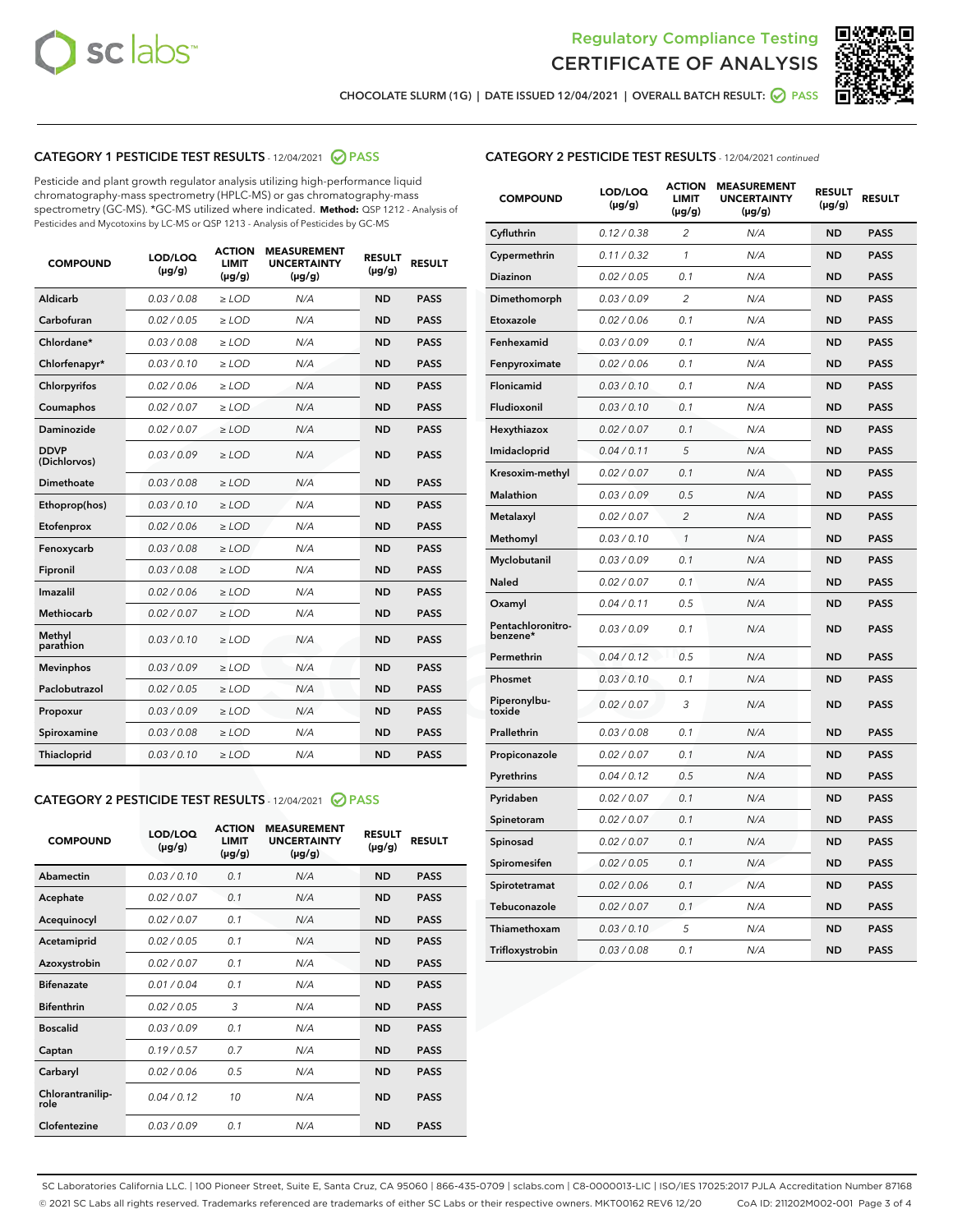



CHOCOLATE SLURM (1G) | DATE ISSUED 12/04/2021 | OVERALL BATCH RESULT: ☑ PASS

#### CATEGORY 1 PESTICIDE TEST RESULTS - 12/04/2021 @ PASS

Pesticide and plant growth regulator analysis utilizing high-performance liquid chromatography-mass spectrometry (HPLC-MS) or gas chromatography-mass spectrometry (GC-MS). \*GC-MS utilized where indicated. **Method:** QSP 1212 - Analysis of Pesticides and Mycotoxins by LC-MS or QSP 1213 - Analysis of Pesticides by GC-MS

| <b>Aldicarb</b><br>0.03 / 0.08<br><b>ND</b><br>$\ge$ LOD<br>N/A<br><b>PASS</b><br>Carbofuran<br>0.02/0.05<br>$\ge$ LOD<br>N/A<br><b>ND</b><br><b>PASS</b><br>Chlordane*<br>0.03 / 0.08<br><b>ND</b><br>$>$ LOD<br>N/A<br><b>PASS</b><br>0.03/0.10<br><b>ND</b><br><b>PASS</b><br>Chlorfenapyr*<br>$\geq$ LOD<br>N/A<br>0.02 / 0.06<br>N/A<br><b>ND</b><br><b>PASS</b><br>Chlorpyrifos<br>$\geq$ LOD<br>0.02 / 0.07<br>N/A<br><b>ND</b><br><b>PASS</b><br>Coumaphos<br>$>$ LOD<br>Daminozide<br>0.02 / 0.07<br>$\ge$ LOD<br>N/A<br><b>ND</b><br><b>PASS</b><br><b>DDVP</b><br>0.03/0.09<br>$\ge$ LOD<br>N/A<br><b>ND</b><br><b>PASS</b><br>(Dichlorvos)<br>Dimethoate<br><b>ND</b><br><b>PASS</b><br>0.03 / 0.08<br>$>$ LOD<br>N/A<br>Ethoprop(hos)<br>0.03/0.10<br>$\ge$ LOD<br>N/A<br><b>ND</b><br><b>PASS</b><br>0.02/0.06<br>$\ge$ LOD<br>N/A<br><b>ND</b><br><b>PASS</b><br>Etofenprox<br>Fenoxycarb<br>0.03 / 0.08<br>$>$ LOD<br>N/A<br><b>ND</b><br><b>PASS</b><br>0.03 / 0.08<br><b>ND</b><br><b>PASS</b><br>Fipronil<br>$\ge$ LOD<br>N/A<br>Imazalil<br>0.02 / 0.06<br>$>$ LOD<br>N/A<br><b>ND</b><br><b>PASS</b><br>0.02 / 0.07<br>Methiocarb<br>N/A<br><b>ND</b><br>$>$ LOD<br><b>PASS</b><br>Methyl<br>0.03/0.10<br>$\ge$ LOD<br>N/A<br><b>ND</b><br><b>PASS</b><br>parathion<br>0.03/0.09<br>$\ge$ LOD<br>N/A<br><b>ND</b><br><b>PASS</b><br><b>Mevinphos</b><br>Paclobutrazol<br>0.02 / 0.05<br>$\ge$ LOD<br>N/A<br><b>ND</b><br><b>PASS</b><br>0.03/0.09<br>N/A<br>$\ge$ LOD<br><b>ND</b><br><b>PASS</b><br>Propoxur<br>0.03 / 0.08<br><b>ND</b><br><b>PASS</b><br>Spiroxamine<br>$\ge$ LOD<br>N/A<br><b>PASS</b><br>Thiacloprid<br>0.03/0.10<br>$\ge$ LOD<br>N/A<br><b>ND</b> | <b>COMPOUND</b> | LOD/LOQ<br>$(\mu g/g)$ | <b>ACTION</b><br>LIMIT<br>$(\mu g/g)$ | <b>MEASUREMENT</b><br><b>UNCERTAINTY</b><br>$(\mu g/g)$ | <b>RESULT</b><br>$(\mu g/g)$ | <b>RESULT</b> |
|----------------------------------------------------------------------------------------------------------------------------------------------------------------------------------------------------------------------------------------------------------------------------------------------------------------------------------------------------------------------------------------------------------------------------------------------------------------------------------------------------------------------------------------------------------------------------------------------------------------------------------------------------------------------------------------------------------------------------------------------------------------------------------------------------------------------------------------------------------------------------------------------------------------------------------------------------------------------------------------------------------------------------------------------------------------------------------------------------------------------------------------------------------------------------------------------------------------------------------------------------------------------------------------------------------------------------------------------------------------------------------------------------------------------------------------------------------------------------------------------------------------------------------------------------------------------------------------------------------------------------------------------------------------------------------------------|-----------------|------------------------|---------------------------------------|---------------------------------------------------------|------------------------------|---------------|
|                                                                                                                                                                                                                                                                                                                                                                                                                                                                                                                                                                                                                                                                                                                                                                                                                                                                                                                                                                                                                                                                                                                                                                                                                                                                                                                                                                                                                                                                                                                                                                                                                                                                                              |                 |                        |                                       |                                                         |                              |               |
|                                                                                                                                                                                                                                                                                                                                                                                                                                                                                                                                                                                                                                                                                                                                                                                                                                                                                                                                                                                                                                                                                                                                                                                                                                                                                                                                                                                                                                                                                                                                                                                                                                                                                              |                 |                        |                                       |                                                         |                              |               |
|                                                                                                                                                                                                                                                                                                                                                                                                                                                                                                                                                                                                                                                                                                                                                                                                                                                                                                                                                                                                                                                                                                                                                                                                                                                                                                                                                                                                                                                                                                                                                                                                                                                                                              |                 |                        |                                       |                                                         |                              |               |
|                                                                                                                                                                                                                                                                                                                                                                                                                                                                                                                                                                                                                                                                                                                                                                                                                                                                                                                                                                                                                                                                                                                                                                                                                                                                                                                                                                                                                                                                                                                                                                                                                                                                                              |                 |                        |                                       |                                                         |                              |               |
|                                                                                                                                                                                                                                                                                                                                                                                                                                                                                                                                                                                                                                                                                                                                                                                                                                                                                                                                                                                                                                                                                                                                                                                                                                                                                                                                                                                                                                                                                                                                                                                                                                                                                              |                 |                        |                                       |                                                         |                              |               |
|                                                                                                                                                                                                                                                                                                                                                                                                                                                                                                                                                                                                                                                                                                                                                                                                                                                                                                                                                                                                                                                                                                                                                                                                                                                                                                                                                                                                                                                                                                                                                                                                                                                                                              |                 |                        |                                       |                                                         |                              |               |
|                                                                                                                                                                                                                                                                                                                                                                                                                                                                                                                                                                                                                                                                                                                                                                                                                                                                                                                                                                                                                                                                                                                                                                                                                                                                                                                                                                                                                                                                                                                                                                                                                                                                                              |                 |                        |                                       |                                                         |                              |               |
|                                                                                                                                                                                                                                                                                                                                                                                                                                                                                                                                                                                                                                                                                                                                                                                                                                                                                                                                                                                                                                                                                                                                                                                                                                                                                                                                                                                                                                                                                                                                                                                                                                                                                              |                 |                        |                                       |                                                         |                              |               |
|                                                                                                                                                                                                                                                                                                                                                                                                                                                                                                                                                                                                                                                                                                                                                                                                                                                                                                                                                                                                                                                                                                                                                                                                                                                                                                                                                                                                                                                                                                                                                                                                                                                                                              |                 |                        |                                       |                                                         |                              |               |
|                                                                                                                                                                                                                                                                                                                                                                                                                                                                                                                                                                                                                                                                                                                                                                                                                                                                                                                                                                                                                                                                                                                                                                                                                                                                                                                                                                                                                                                                                                                                                                                                                                                                                              |                 |                        |                                       |                                                         |                              |               |
|                                                                                                                                                                                                                                                                                                                                                                                                                                                                                                                                                                                                                                                                                                                                                                                                                                                                                                                                                                                                                                                                                                                                                                                                                                                                                                                                                                                                                                                                                                                                                                                                                                                                                              |                 |                        |                                       |                                                         |                              |               |
|                                                                                                                                                                                                                                                                                                                                                                                                                                                                                                                                                                                                                                                                                                                                                                                                                                                                                                                                                                                                                                                                                                                                                                                                                                                                                                                                                                                                                                                                                                                                                                                                                                                                                              |                 |                        |                                       |                                                         |                              |               |
|                                                                                                                                                                                                                                                                                                                                                                                                                                                                                                                                                                                                                                                                                                                                                                                                                                                                                                                                                                                                                                                                                                                                                                                                                                                                                                                                                                                                                                                                                                                                                                                                                                                                                              |                 |                        |                                       |                                                         |                              |               |
|                                                                                                                                                                                                                                                                                                                                                                                                                                                                                                                                                                                                                                                                                                                                                                                                                                                                                                                                                                                                                                                                                                                                                                                                                                                                                                                                                                                                                                                                                                                                                                                                                                                                                              |                 |                        |                                       |                                                         |                              |               |
|                                                                                                                                                                                                                                                                                                                                                                                                                                                                                                                                                                                                                                                                                                                                                                                                                                                                                                                                                                                                                                                                                                                                                                                                                                                                                                                                                                                                                                                                                                                                                                                                                                                                                              |                 |                        |                                       |                                                         |                              |               |
|                                                                                                                                                                                                                                                                                                                                                                                                                                                                                                                                                                                                                                                                                                                                                                                                                                                                                                                                                                                                                                                                                                                                                                                                                                                                                                                                                                                                                                                                                                                                                                                                                                                                                              |                 |                        |                                       |                                                         |                              |               |
|                                                                                                                                                                                                                                                                                                                                                                                                                                                                                                                                                                                                                                                                                                                                                                                                                                                                                                                                                                                                                                                                                                                                                                                                                                                                                                                                                                                                                                                                                                                                                                                                                                                                                              |                 |                        |                                       |                                                         |                              |               |
|                                                                                                                                                                                                                                                                                                                                                                                                                                                                                                                                                                                                                                                                                                                                                                                                                                                                                                                                                                                                                                                                                                                                                                                                                                                                                                                                                                                                                                                                                                                                                                                                                                                                                              |                 |                        |                                       |                                                         |                              |               |
|                                                                                                                                                                                                                                                                                                                                                                                                                                                                                                                                                                                                                                                                                                                                                                                                                                                                                                                                                                                                                                                                                                                                                                                                                                                                                                                                                                                                                                                                                                                                                                                                                                                                                              |                 |                        |                                       |                                                         |                              |               |
|                                                                                                                                                                                                                                                                                                                                                                                                                                                                                                                                                                                                                                                                                                                                                                                                                                                                                                                                                                                                                                                                                                                                                                                                                                                                                                                                                                                                                                                                                                                                                                                                                                                                                              |                 |                        |                                       |                                                         |                              |               |
|                                                                                                                                                                                                                                                                                                                                                                                                                                                                                                                                                                                                                                                                                                                                                                                                                                                                                                                                                                                                                                                                                                                                                                                                                                                                                                                                                                                                                                                                                                                                                                                                                                                                                              |                 |                        |                                       |                                                         |                              |               |

#### CATEGORY 2 PESTICIDE TEST RESULTS - 12/04/2021 @ PASS

| <b>COMPOUND</b>          | LOD/LOQ<br>$(\mu g/g)$ | <b>ACTION</b><br>LIMIT<br>$(\mu g/g)$ | <b>MEASUREMENT</b><br><b>UNCERTAINTY</b><br>$(\mu g/g)$ | <b>RESULT</b><br>$(\mu g/g)$ | <b>RESULT</b> |
|--------------------------|------------------------|---------------------------------------|---------------------------------------------------------|------------------------------|---------------|
| Abamectin                | 0.03/0.10              | 0.1                                   | N/A                                                     | <b>ND</b>                    | <b>PASS</b>   |
| Acephate                 | 0.02/0.07              | 0.1                                   | N/A                                                     | <b>ND</b>                    | <b>PASS</b>   |
| Acequinocyl              | 0.02/0.07              | 0.1                                   | N/A                                                     | <b>ND</b>                    | <b>PASS</b>   |
| Acetamiprid              | 0.02/0.05              | 0.1                                   | N/A                                                     | <b>ND</b>                    | <b>PASS</b>   |
| Azoxystrobin             | 0.02/0.07              | 0.1                                   | N/A                                                     | <b>ND</b>                    | <b>PASS</b>   |
| <b>Bifenazate</b>        | 0.01/0.04              | 0.1                                   | N/A                                                     | <b>ND</b>                    | <b>PASS</b>   |
| <b>Bifenthrin</b>        | 0.02/0.05              | 3                                     | N/A                                                     | <b>ND</b>                    | <b>PASS</b>   |
| <b>Boscalid</b>          | 0.03/0.09              | 0.1                                   | N/A                                                     | <b>ND</b>                    | <b>PASS</b>   |
| Captan                   | 0.19/0.57              | 07                                    | N/A                                                     | <b>ND</b>                    | <b>PASS</b>   |
| Carbaryl                 | 0.02/0.06              | 0.5                                   | N/A                                                     | <b>ND</b>                    | <b>PASS</b>   |
| Chlorantranilip-<br>role | 0.04/0.12              | 10                                    | N/A                                                     | <b>ND</b>                    | <b>PASS</b>   |
| Clofentezine             | 0.03/0.09              | 0.1                                   | N/A                                                     | <b>ND</b>                    | <b>PASS</b>   |

## CATEGORY 2 PESTICIDE TEST RESULTS - 12/04/2021 continued

| <b>COMPOUND</b>               | LOD/LOQ<br>(µg/g) | <b>ACTION</b><br><b>LIMIT</b><br>$(\mu g/g)$ | <b>MEASUREMENT</b><br><b>UNCERTAINTY</b><br>$(\mu g/g)$ | <b>RESULT</b><br>(µg/g) | <b>RESULT</b> |
|-------------------------------|-------------------|----------------------------------------------|---------------------------------------------------------|-------------------------|---------------|
| Cyfluthrin                    | 0.12 / 0.38       | $\overline{c}$                               | N/A                                                     | <b>ND</b>               | <b>PASS</b>   |
| Cypermethrin                  | 0.11 / 0.32       | 1                                            | N/A                                                     | ND                      | <b>PASS</b>   |
| <b>Diazinon</b>               | 0.02 / 0.05       | 0.1                                          | N/A                                                     | ND                      | <b>PASS</b>   |
| Dimethomorph                  | 0.03 / 0.09       | 2                                            | N/A                                                     | ND                      | <b>PASS</b>   |
| Etoxazole                     | 0.02 / 0.06       | 0.1                                          | N/A                                                     | ND                      | <b>PASS</b>   |
| Fenhexamid                    | 0.03 / 0.09       | 0.1                                          | N/A                                                     | <b>ND</b>               | <b>PASS</b>   |
| Fenpyroximate                 | 0.02 / 0.06       | 0.1                                          | N/A                                                     | ND                      | <b>PASS</b>   |
| Flonicamid                    | 0.03 / 0.10       | 0.1                                          | N/A                                                     | ND                      | <b>PASS</b>   |
| Fludioxonil                   | 0.03 / 0.10       | 0.1                                          | N/A                                                     | <b>ND</b>               | <b>PASS</b>   |
| Hexythiazox                   | 0.02 / 0.07       | 0.1                                          | N/A                                                     | <b>ND</b>               | <b>PASS</b>   |
| Imidacloprid                  | 0.04 / 0.11       | 5                                            | N/A                                                     | ND                      | <b>PASS</b>   |
| Kresoxim-methyl               | 0.02 / 0.07       | 0.1                                          | N/A                                                     | <b>ND</b>               | <b>PASS</b>   |
| <b>Malathion</b>              | 0.03 / 0.09       | 0.5                                          | N/A                                                     | <b>ND</b>               | <b>PASS</b>   |
| Metalaxyl                     | 0.02 / 0.07       | $\overline{c}$                               | N/A                                                     | ND                      | <b>PASS</b>   |
| Methomyl                      | 0.03 / 0.10       | 1                                            | N/A                                                     | <b>ND</b>               | <b>PASS</b>   |
| Myclobutanil                  | 0.03 / 0.09       | 0.1                                          | N/A                                                     | ND                      | <b>PASS</b>   |
| Naled                         | 0.02 / 0.07       | 0.1                                          | N/A                                                     | ND                      | <b>PASS</b>   |
| Oxamyl                        | 0.04 / 0.11       | 0.5                                          | N/A                                                     | ND                      | <b>PASS</b>   |
| Pentachloronitro-<br>benzene* | 0.03 / 0.09       | 0.1                                          | N/A                                                     | ND                      | <b>PASS</b>   |
| Permethrin                    | 0.04 / 0.12       | 0.5                                          | N/A                                                     | ND                      | <b>PASS</b>   |
| Phosmet                       | 0.03 / 0.10       | 0.1                                          | N/A                                                     | <b>ND</b>               | <b>PASS</b>   |
| Piperonylbu-<br>toxide        | 0.02 / 0.07       | 3                                            | N/A                                                     | ND                      | <b>PASS</b>   |
| Prallethrin                   | 0.03 / 0.08       | 0.1                                          | N/A                                                     | <b>ND</b>               | <b>PASS</b>   |
| Propiconazole                 | 0.02 / 0.07       | 0.1                                          | N/A                                                     | ND                      | <b>PASS</b>   |
| Pyrethrins                    | 0.04 / 0.12       | 0.5                                          | N/A                                                     | ND                      | <b>PASS</b>   |
| Pyridaben                     | 0.02 / 0.07       | 0.1                                          | N/A                                                     | ND                      | <b>PASS</b>   |
| Spinetoram                    | 0.02 / 0.07       | 0.1                                          | N/A                                                     | <b>ND</b>               | <b>PASS</b>   |
| Spinosad                      | 0.02 / 0.07       | 0.1                                          | N/A                                                     | ND                      | <b>PASS</b>   |
| Spiromesifen                  | 0.02 / 0.05       | 0.1                                          | N/A                                                     | <b>ND</b>               | <b>PASS</b>   |
| Spirotetramat                 | 0.02 / 0.06       | 0.1                                          | N/A                                                     | ND                      | <b>PASS</b>   |
| Tebuconazole                  | 0.02 / 0.07       | 0.1                                          | N/A                                                     | ND                      | <b>PASS</b>   |
| Thiamethoxam                  | 0.03 / 0.10       | 5                                            | N/A                                                     | <b>ND</b>               | <b>PASS</b>   |
| Trifloxystrobin               | 0.03 / 0.08       | 0.1                                          | N/A                                                     | <b>ND</b>               | <b>PASS</b>   |

SC Laboratories California LLC. | 100 Pioneer Street, Suite E, Santa Cruz, CA 95060 | 866-435-0709 | sclabs.com | C8-0000013-LIC | ISO/IES 17025:2017 PJLA Accreditation Number 87168 © 2021 SC Labs all rights reserved. Trademarks referenced are trademarks of either SC Labs or their respective owners. MKT00162 REV6 12/20 CoA ID: 211202M002-001 Page 3 of 4